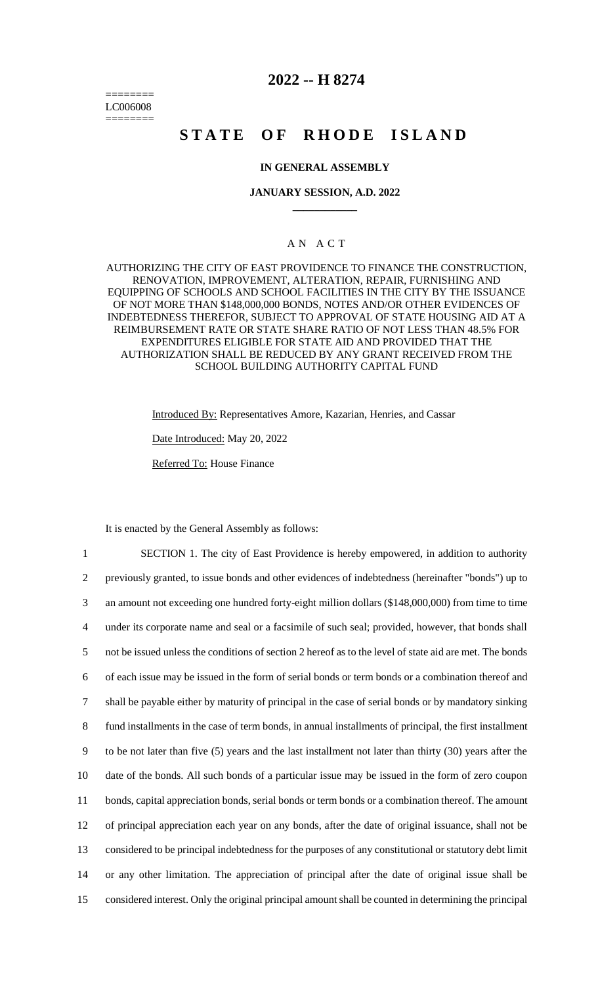======== LC006008 ========

## **2022 -- H 8274**

# **STATE OF RHODE ISLAND**

## **IN GENERAL ASSEMBLY**

### **JANUARY SESSION, A.D. 2022 \_\_\_\_\_\_\_\_\_\_\_\_**

## A N A C T

AUTHORIZING THE CITY OF EAST PROVIDENCE TO FINANCE THE CONSTRUCTION, RENOVATION, IMPROVEMENT, ALTERATION, REPAIR, FURNISHING AND EQUIPPING OF SCHOOLS AND SCHOOL FACILITIES IN THE CITY BY THE ISSUANCE OF NOT MORE THAN \$148,000,000 BONDS, NOTES AND/OR OTHER EVIDENCES OF INDEBTEDNESS THEREFOR, SUBJECT TO APPROVAL OF STATE HOUSING AID AT A REIMBURSEMENT RATE OR STATE SHARE RATIO OF NOT LESS THAN 48.5% FOR EXPENDITURES ELIGIBLE FOR STATE AID AND PROVIDED THAT THE AUTHORIZATION SHALL BE REDUCED BY ANY GRANT RECEIVED FROM THE SCHOOL BUILDING AUTHORITY CAPITAL FUND

> Introduced By: Representatives Amore, Kazarian, Henries, and Cassar Date Introduced: May 20, 2022 Referred To: House Finance

It is enacted by the General Assembly as follows:

 SECTION 1. The city of East Providence is hereby empowered, in addition to authority previously granted, to issue bonds and other evidences of indebtedness (hereinafter "bonds") up to an amount not exceeding one hundred forty-eight million dollars (\$148,000,000) from time to time under its corporate name and seal or a facsimile of such seal; provided, however, that bonds shall not be issued unless the conditions of section 2 hereof as to the level of state aid are met. The bonds of each issue may be issued in the form of serial bonds or term bonds or a combination thereof and shall be payable either by maturity of principal in the case of serial bonds or by mandatory sinking fund installments in the case of term bonds, in annual installments of principal, the first installment to be not later than five (5) years and the last installment not later than thirty (30) years after the date of the bonds. All such bonds of a particular issue may be issued in the form of zero coupon bonds, capital appreciation bonds, serial bonds or term bonds or a combination thereof. The amount of principal appreciation each year on any bonds, after the date of original issuance, shall not be considered to be principal indebtedness for the purposes of any constitutional or statutory debt limit or any other limitation. The appreciation of principal after the date of original issue shall be considered interest. Only the original principal amount shall be counted in determining the principal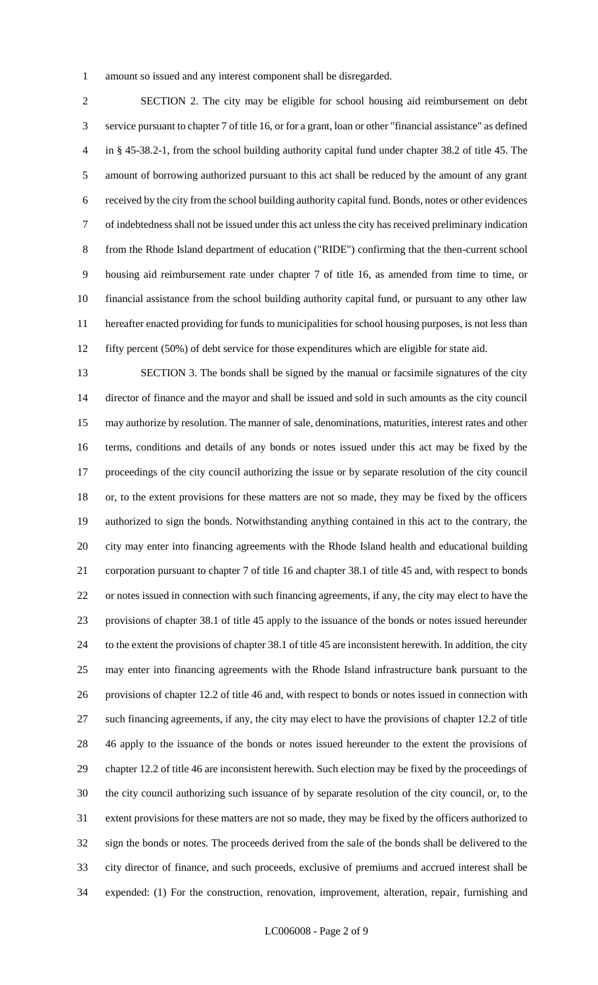amount so issued and any interest component shall be disregarded.

 SECTION 2. The city may be eligible for school housing aid reimbursement on debt service pursuant to chapter 7 of title 16, or for a grant, loan or other "financial assistance" as defined in § 45-38.2-1, from the school building authority capital fund under chapter 38.2 of title 45. The amount of borrowing authorized pursuant to this act shall be reduced by the amount of any grant received by the city from the school building authority capital fund. Bonds, notes or other evidences of indebtedness shall not be issued under this act unless the city has received preliminary indication from the Rhode Island department of education ("RIDE") confirming that the then-current school housing aid reimbursement rate under chapter 7 of title 16, as amended from time to time, or financial assistance from the school building authority capital fund, or pursuant to any other law hereafter enacted providing for funds to municipalities for school housing purposes, is not less than fifty percent (50%) of debt service for those expenditures which are eligible for state aid.

 SECTION 3. The bonds shall be signed by the manual or facsimile signatures of the city director of finance and the mayor and shall be issued and sold in such amounts as the city council may authorize by resolution. The manner of sale, denominations, maturities, interest rates and other terms, conditions and details of any bonds or notes issued under this act may be fixed by the proceedings of the city council authorizing the issue or by separate resolution of the city council or, to the extent provisions for these matters are not so made, they may be fixed by the officers authorized to sign the bonds. Notwithstanding anything contained in this act to the contrary, the city may enter into financing agreements with the Rhode Island health and educational building corporation pursuant to chapter 7 of title 16 and chapter 38.1 of title 45 and, with respect to bonds or notes issued in connection with such financing agreements, if any, the city may elect to have the provisions of chapter 38.1 of title 45 apply to the issuance of the bonds or notes issued hereunder to the extent the provisions of chapter 38.1 of title 45 are inconsistent herewith. In addition, the city may enter into financing agreements with the Rhode Island infrastructure bank pursuant to the provisions of chapter 12.2 of title 46 and, with respect to bonds or notes issued in connection with such financing agreements, if any, the city may elect to have the provisions of chapter 12.2 of title 46 apply to the issuance of the bonds or notes issued hereunder to the extent the provisions of chapter 12.2 of title 46 are inconsistent herewith. Such election may be fixed by the proceedings of the city council authorizing such issuance of by separate resolution of the city council, or, to the extent provisions for these matters are not so made, they may be fixed by the officers authorized to sign the bonds or notes. The proceeds derived from the sale of the bonds shall be delivered to the city director of finance, and such proceeds, exclusive of premiums and accrued interest shall be expended: (1) For the construction, renovation, improvement, alteration, repair, furnishing and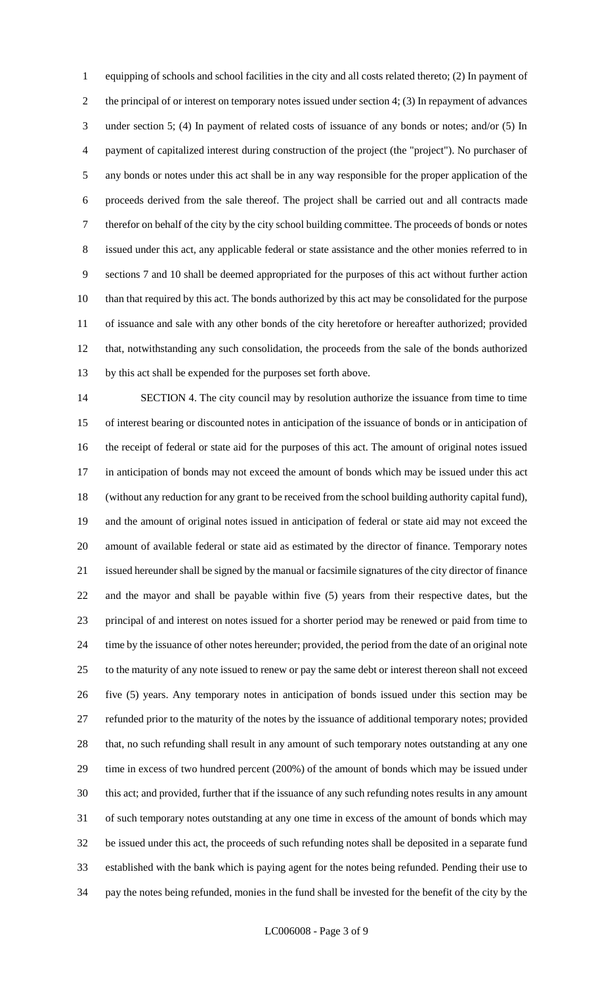equipping of schools and school facilities in the city and all costs related thereto; (2) In payment of the principal of or interest on temporary notes issued under section 4; (3) In repayment of advances under section 5; (4) In payment of related costs of issuance of any bonds or notes; and/or (5) In payment of capitalized interest during construction of the project (the "project"). No purchaser of any bonds or notes under this act shall be in any way responsible for the proper application of the proceeds derived from the sale thereof. The project shall be carried out and all contracts made therefor on behalf of the city by the city school building committee. The proceeds of bonds or notes issued under this act, any applicable federal or state assistance and the other monies referred to in sections 7 and 10 shall be deemed appropriated for the purposes of this act without further action than that required by this act. The bonds authorized by this act may be consolidated for the purpose of issuance and sale with any other bonds of the city heretofore or hereafter authorized; provided that, notwithstanding any such consolidation, the proceeds from the sale of the bonds authorized by this act shall be expended for the purposes set forth above.

 SECTION 4. The city council may by resolution authorize the issuance from time to time of interest bearing or discounted notes in anticipation of the issuance of bonds or in anticipation of the receipt of federal or state aid for the purposes of this act. The amount of original notes issued in anticipation of bonds may not exceed the amount of bonds which may be issued under this act (without any reduction for any grant to be received from the school building authority capital fund), and the amount of original notes issued in anticipation of federal or state aid may not exceed the amount of available federal or state aid as estimated by the director of finance. Temporary notes issued hereunder shall be signed by the manual or facsimile signatures of the city director of finance and the mayor and shall be payable within five (5) years from their respective dates, but the principal of and interest on notes issued for a shorter period may be renewed or paid from time to time by the issuance of other notes hereunder; provided, the period from the date of an original note to the maturity of any note issued to renew or pay the same debt or interest thereon shall not exceed five (5) years. Any temporary notes in anticipation of bonds issued under this section may be refunded prior to the maturity of the notes by the issuance of additional temporary notes; provided that, no such refunding shall result in any amount of such temporary notes outstanding at any one time in excess of two hundred percent (200%) of the amount of bonds which may be issued under this act; and provided, further that if the issuance of any such refunding notes results in any amount of such temporary notes outstanding at any one time in excess of the amount of bonds which may be issued under this act, the proceeds of such refunding notes shall be deposited in a separate fund established with the bank which is paying agent for the notes being refunded. Pending their use to pay the notes being refunded, monies in the fund shall be invested for the benefit of the city by the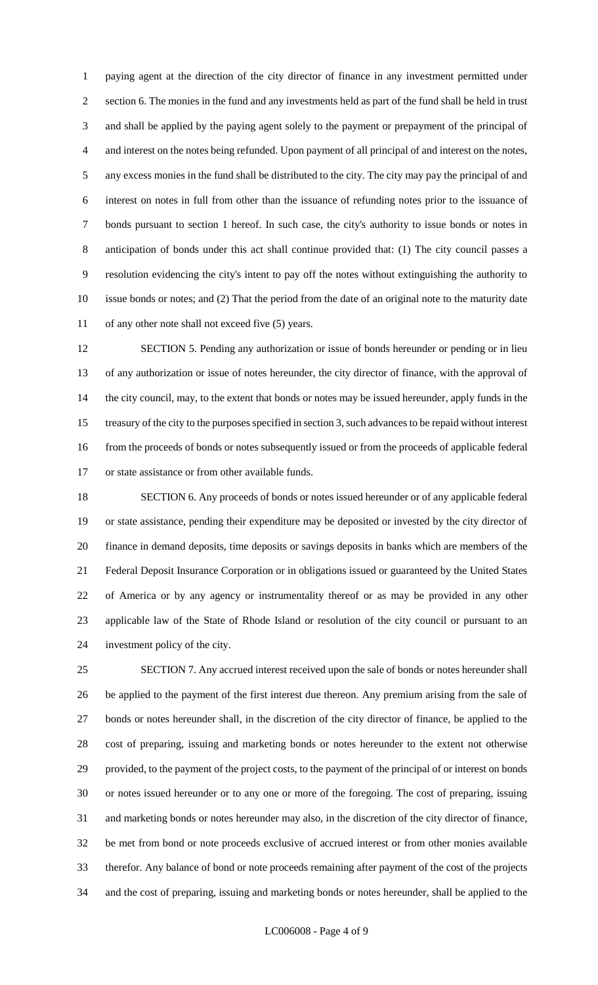paying agent at the direction of the city director of finance in any investment permitted under section 6. The monies in the fund and any investments held as part of the fund shall be held in trust and shall be applied by the paying agent solely to the payment or prepayment of the principal of and interest on the notes being refunded. Upon payment of all principal of and interest on the notes, any excess monies in the fund shall be distributed to the city. The city may pay the principal of and interest on notes in full from other than the issuance of refunding notes prior to the issuance of bonds pursuant to section 1 hereof. In such case, the city's authority to issue bonds or notes in anticipation of bonds under this act shall continue provided that: (1) The city council passes a resolution evidencing the city's intent to pay off the notes without extinguishing the authority to issue bonds or notes; and (2) That the period from the date of an original note to the maturity date of any other note shall not exceed five (5) years.

 SECTION 5. Pending any authorization or issue of bonds hereunder or pending or in lieu of any authorization or issue of notes hereunder, the city director of finance, with the approval of the city council, may, to the extent that bonds or notes may be issued hereunder, apply funds in the treasury of the city to the purposes specified in section 3, such advances to be repaid without interest from the proceeds of bonds or notes subsequently issued or from the proceeds of applicable federal or state assistance or from other available funds.

 SECTION 6. Any proceeds of bonds or notes issued hereunder or of any applicable federal or state assistance, pending their expenditure may be deposited or invested by the city director of finance in demand deposits, time deposits or savings deposits in banks which are members of the Federal Deposit Insurance Corporation or in obligations issued or guaranteed by the United States of America or by any agency or instrumentality thereof or as may be provided in any other applicable law of the State of Rhode Island or resolution of the city council or pursuant to an investment policy of the city.

 SECTION 7. Any accrued interest received upon the sale of bonds or notes hereunder shall be applied to the payment of the first interest due thereon. Any premium arising from the sale of bonds or notes hereunder shall, in the discretion of the city director of finance, be applied to the cost of preparing, issuing and marketing bonds or notes hereunder to the extent not otherwise provided, to the payment of the project costs, to the payment of the principal of or interest on bonds or notes issued hereunder or to any one or more of the foregoing. The cost of preparing, issuing and marketing bonds or notes hereunder may also, in the discretion of the city director of finance, be met from bond or note proceeds exclusive of accrued interest or from other monies available therefor. Any balance of bond or note proceeds remaining after payment of the cost of the projects and the cost of preparing, issuing and marketing bonds or notes hereunder, shall be applied to the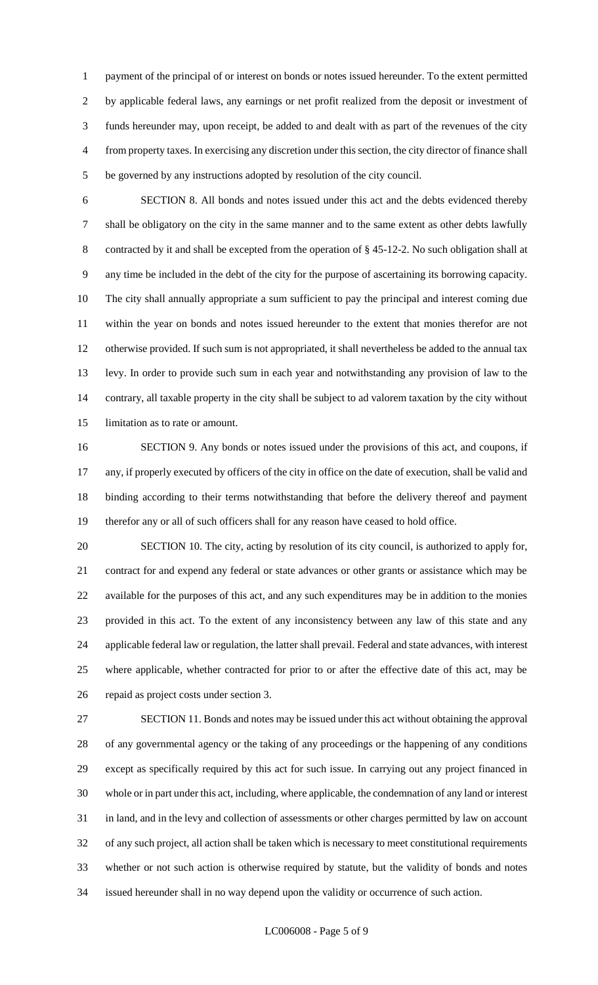payment of the principal of or interest on bonds or notes issued hereunder. To the extent permitted by applicable federal laws, any earnings or net profit realized from the deposit or investment of funds hereunder may, upon receipt, be added to and dealt with as part of the revenues of the city from property taxes. In exercising any discretion under this section, the city director of finance shall be governed by any instructions adopted by resolution of the city council.

 SECTION 8. All bonds and notes issued under this act and the debts evidenced thereby shall be obligatory on the city in the same manner and to the same extent as other debts lawfully contracted by it and shall be excepted from the operation of § 45-12-2. No such obligation shall at any time be included in the debt of the city for the purpose of ascertaining its borrowing capacity. The city shall annually appropriate a sum sufficient to pay the principal and interest coming due within the year on bonds and notes issued hereunder to the extent that monies therefor are not otherwise provided. If such sum is not appropriated, it shall nevertheless be added to the annual tax levy. In order to provide such sum in each year and notwithstanding any provision of law to the contrary, all taxable property in the city shall be subject to ad valorem taxation by the city without limitation as to rate or amount.

 SECTION 9. Any bonds or notes issued under the provisions of this act, and coupons, if any, if properly executed by officers of the city in office on the date of execution, shall be valid and binding according to their terms notwithstanding that before the delivery thereof and payment therefor any or all of such officers shall for any reason have ceased to hold office.

 SECTION 10. The city, acting by resolution of its city council, is authorized to apply for, contract for and expend any federal or state advances or other grants or assistance which may be available for the purposes of this act, and any such expenditures may be in addition to the monies provided in this act. To the extent of any inconsistency between any law of this state and any applicable federal law or regulation, the latter shall prevail. Federal and state advances, with interest where applicable, whether contracted for prior to or after the effective date of this act, may be repaid as project costs under section 3.

 SECTION 11. Bonds and notes may be issued under this act without obtaining the approval of any governmental agency or the taking of any proceedings or the happening of any conditions except as specifically required by this act for such issue. In carrying out any project financed in whole or in part under this act, including, where applicable, the condemnation of any land or interest in land, and in the levy and collection of assessments or other charges permitted by law on account of any such project, all action shall be taken which is necessary to meet constitutional requirements whether or not such action is otherwise required by statute, but the validity of bonds and notes issued hereunder shall in no way depend upon the validity or occurrence of such action.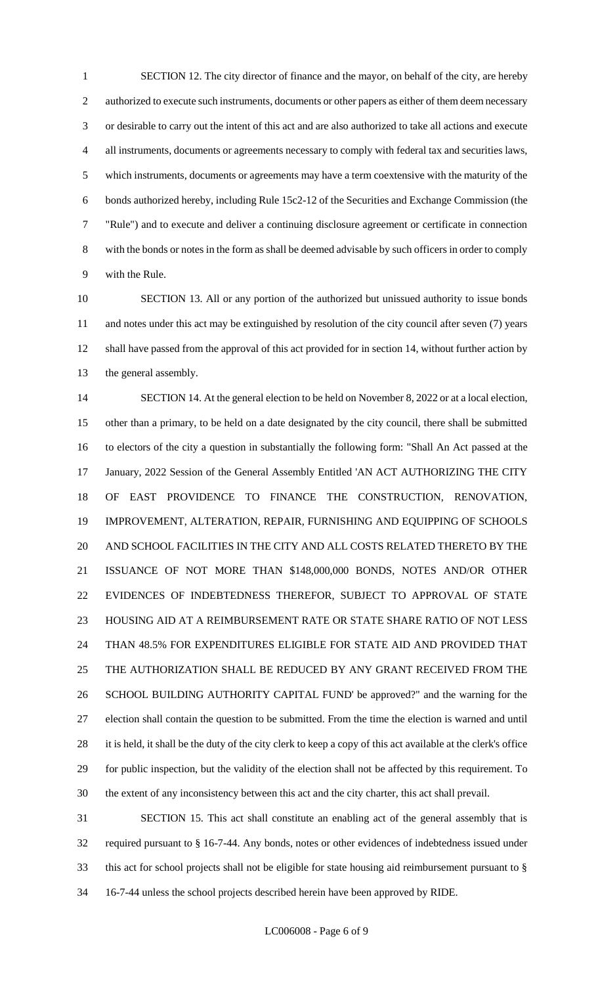SECTION 12. The city director of finance and the mayor, on behalf of the city, are hereby 2 authorized to execute such instruments, documents or other papers as either of them deem necessary or desirable to carry out the intent of this act and are also authorized to take all actions and execute all instruments, documents or agreements necessary to comply with federal tax and securities laws, which instruments, documents or agreements may have a term coextensive with the maturity of the bonds authorized hereby, including Rule 15c2-12 of the Securities and Exchange Commission (the "Rule") and to execute and deliver a continuing disclosure agreement or certificate in connection with the bonds or notes in the form as shall be deemed advisable by such officers in order to comply with the Rule.

 SECTION 13. All or any portion of the authorized but unissued authority to issue bonds and notes under this act may be extinguished by resolution of the city council after seven (7) years shall have passed from the approval of this act provided for in section 14, without further action by the general assembly.

 SECTION 14. At the general election to be held on November 8, 2022 or at a local election, other than a primary, to be held on a date designated by the city council, there shall be submitted to electors of the city a question in substantially the following form: "Shall An Act passed at the January, 2022 Session of the General Assembly Entitled 'AN ACT AUTHORIZING THE CITY OF EAST PROVIDENCE TO FINANCE THE CONSTRUCTION, RENOVATION, IMPROVEMENT, ALTERATION, REPAIR, FURNISHING AND EQUIPPING OF SCHOOLS AND SCHOOL FACILITIES IN THE CITY AND ALL COSTS RELATED THERETO BY THE ISSUANCE OF NOT MORE THAN \$148,000,000 BONDS, NOTES AND/OR OTHER EVIDENCES OF INDEBTEDNESS THEREFOR, SUBJECT TO APPROVAL OF STATE HOUSING AID AT A REIMBURSEMENT RATE OR STATE SHARE RATIO OF NOT LESS THAN 48.5% FOR EXPENDITURES ELIGIBLE FOR STATE AID AND PROVIDED THAT THE AUTHORIZATION SHALL BE REDUCED BY ANY GRANT RECEIVED FROM THE SCHOOL BUILDING AUTHORITY CAPITAL FUND' be approved?" and the warning for the election shall contain the question to be submitted. From the time the election is warned and until 28 it is held, it shall be the duty of the city clerk to keep a copy of this act available at the clerk's office for public inspection, but the validity of the election shall not be affected by this requirement. To the extent of any inconsistency between this act and the city charter, this act shall prevail.

 SECTION 15. This act shall constitute an enabling act of the general assembly that is required pursuant to § 16-7-44. Any bonds, notes or other evidences of indebtedness issued under this act for school projects shall not be eligible for state housing aid reimbursement pursuant to § 16-7-44 unless the school projects described herein have been approved by RIDE.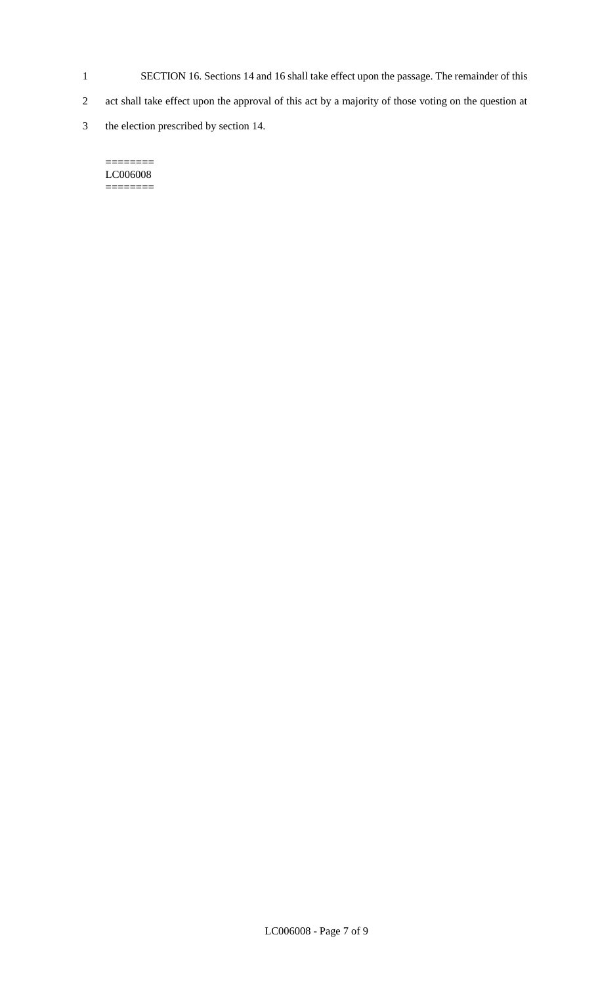- 1 SECTION 16. Sections 14 and 16 shall take effect upon the passage. The remainder of this
- 2 act shall take effect upon the approval of this act by a majority of those voting on the question at
- 3 the election prescribed by section 14.

#### $=$ LC006008 ========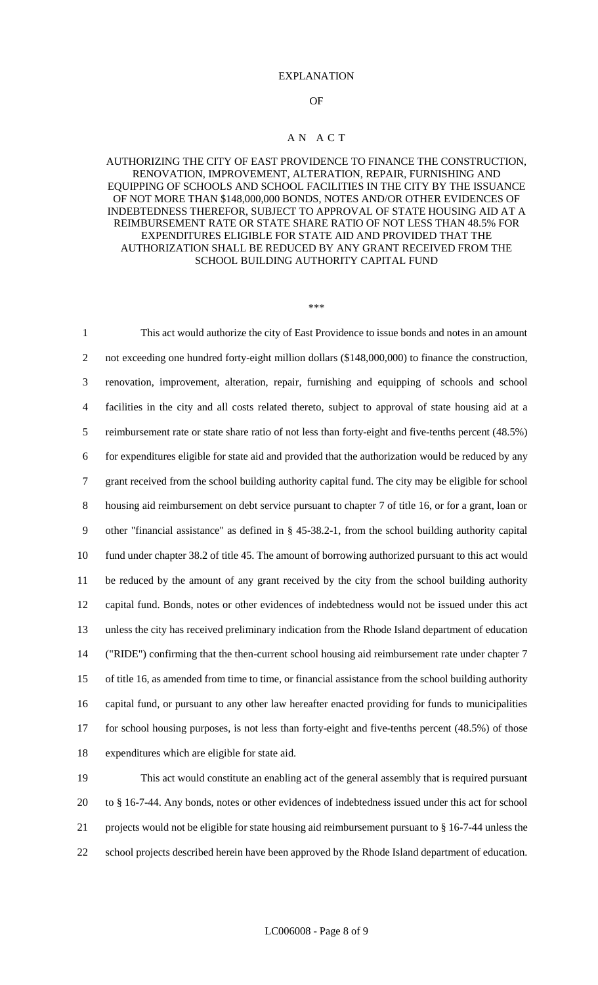#### EXPLANATION

#### OF

#### A N A C T

## AUTHORIZING THE CITY OF EAST PROVIDENCE TO FINANCE THE CONSTRUCTION, RENOVATION, IMPROVEMENT, ALTERATION, REPAIR, FURNISHING AND EQUIPPING OF SCHOOLS AND SCHOOL FACILITIES IN THE CITY BY THE ISSUANCE OF NOT MORE THAN \$148,000,000 BONDS, NOTES AND/OR OTHER EVIDENCES OF INDEBTEDNESS THEREFOR, SUBJECT TO APPROVAL OF STATE HOUSING AID AT A REIMBURSEMENT RATE OR STATE SHARE RATIO OF NOT LESS THAN 48.5% FOR EXPENDITURES ELIGIBLE FOR STATE AID AND PROVIDED THAT THE AUTHORIZATION SHALL BE REDUCED BY ANY GRANT RECEIVED FROM THE SCHOOL BUILDING AUTHORITY CAPITAL FUND

#### \*\*\*

 This act would authorize the city of East Providence to issue bonds and notes in an amount 2 not exceeding one hundred forty-eight million dollars (\$148,000,000) to finance the construction, renovation, improvement, alteration, repair, furnishing and equipping of schools and school facilities in the city and all costs related thereto, subject to approval of state housing aid at a reimbursement rate or state share ratio of not less than forty-eight and five-tenths percent (48.5%) for expenditures eligible for state aid and provided that the authorization would be reduced by any grant received from the school building authority capital fund. The city may be eligible for school housing aid reimbursement on debt service pursuant to chapter 7 of title 16, or for a grant, loan or other "financial assistance" as defined in § 45-38.2-1, from the school building authority capital fund under chapter 38.2 of title 45. The amount of borrowing authorized pursuant to this act would be reduced by the amount of any grant received by the city from the school building authority capital fund. Bonds, notes or other evidences of indebtedness would not be issued under this act unless the city has received preliminary indication from the Rhode Island department of education ("RIDE") confirming that the then-current school housing aid reimbursement rate under chapter 7 of title 16, as amended from time to time, or financial assistance from the school building authority capital fund, or pursuant to any other law hereafter enacted providing for funds to municipalities for school housing purposes, is not less than forty-eight and five-tenths percent (48.5%) of those expenditures which are eligible for state aid.

 This act would constitute an enabling act of the general assembly that is required pursuant to § 16-7-44. Any bonds, notes or other evidences of indebtedness issued under this act for school projects would not be eligible for state housing aid reimbursement pursuant to § 16-7-44 unless the school projects described herein have been approved by the Rhode Island department of education.